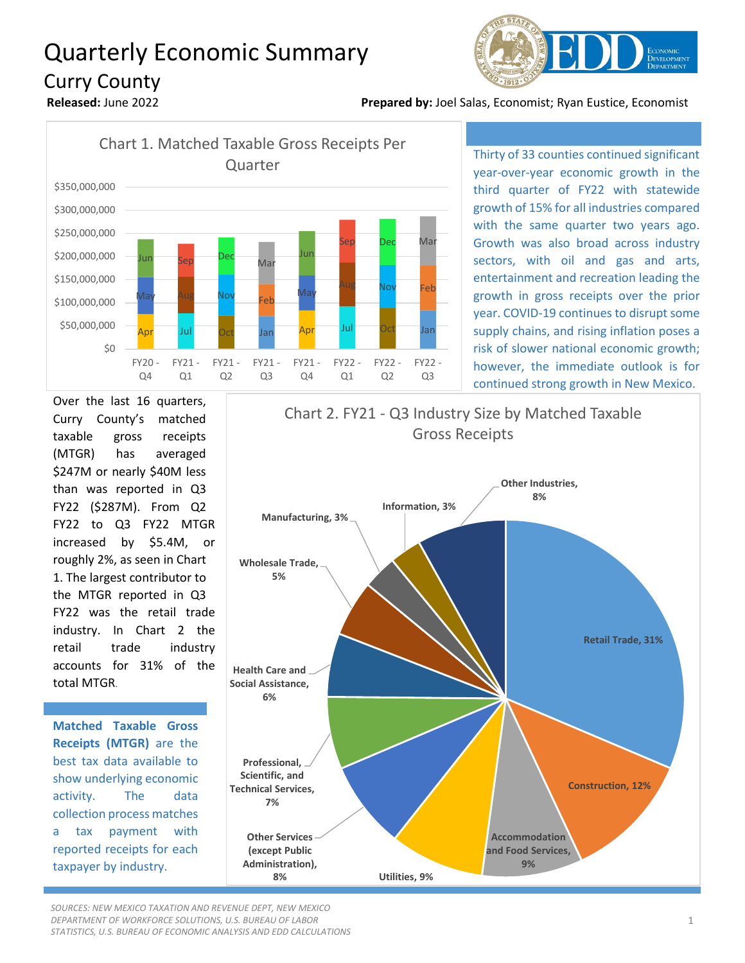## Quarterly Economic Summary Curry County



**Released:** June 2022 **Prepared by:** Joel Salas, Economist; Ryan Eustice, Economist



Thirty of 33 counties continued significant year-over-year economic growth in the third quarter of FY22 with statewide growth of 15% for all industries compared with the same quarter two years ago. Growth was also broad across industry sectors, with oil and gas and arts, entertainment and recreation leading the growth in gross receipts over the prior year. COVID-19 continues to disrupt some supply chains, and rising inflation poses a risk of slower national economic growth; however, the immediate outlook is for continued strong growth in New Mexico.

Over the last 16 quarters, Curry County's matched taxable gross receipts (MTGR) has averaged \$247M or nearly \$40M less than was reported in Q3 FY22 (\$287M). From Q2 FY22 to Q3 FY22 MTGR increased by \$5.4M, or roughly 2%, as seen in Chart 1. The largest contributor to the MTGR reported in Q3 FY22 was the retail trade industry. In Chart 2 the retail trade industry accounts for 31% of the total MTGR.

**Matched Taxable Gross Receipts (MTGR)** are the best tax data available to show underlying economic activity. The data collection process matches a tax payment with reported receipts for each taxpayer by industry.



*SOURCES: NEW MEXICO TAXATION AND REVENUE DEPT, NEW MEXICO DEPARTMENT OF WORKFORCE SOLUTIONS, U.S. BUREAU OF LABOR STATISTICS, U.S. BUREAU OF ECONOMIC ANALYSIS AND EDD CALCULATIONS*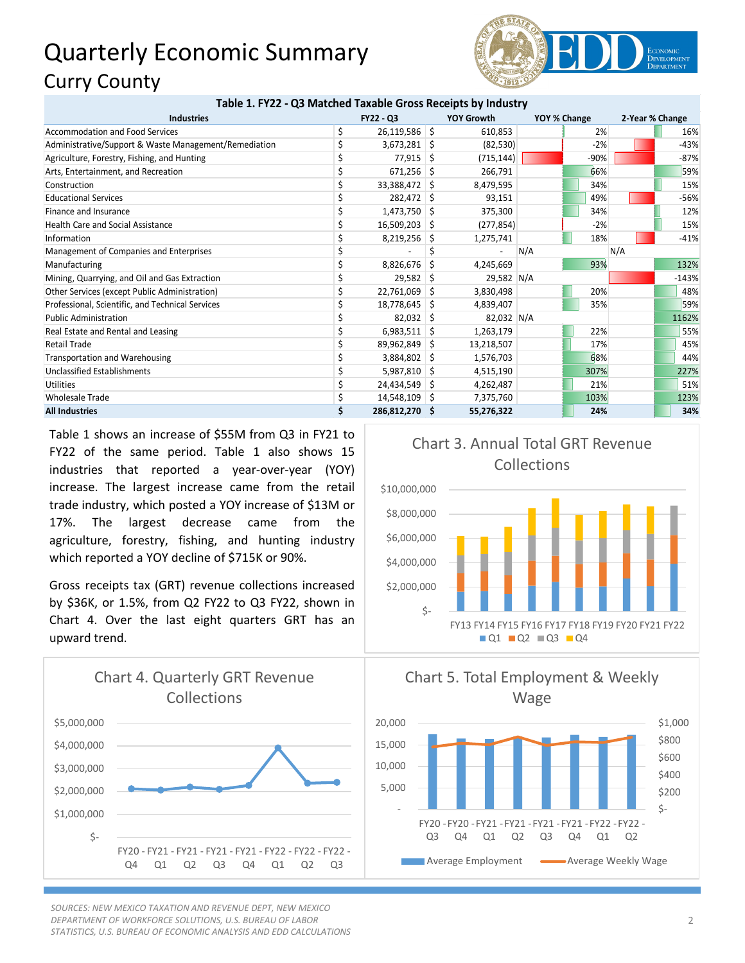## Quarterly Economic Summary Curry County



| Table 1. FY22 - Q3 Matched Taxable Gross Receipts by Industry |                  |                 |    |                   |     |              |     |                 |  |
|---------------------------------------------------------------|------------------|-----------------|----|-------------------|-----|--------------|-----|-----------------|--|
| <b>Industries</b>                                             | <b>FY22 - Q3</b> |                 |    | <b>YOY Growth</b> |     | YOY % Change |     | 2-Year % Change |  |
| <b>Accommodation and Food Services</b>                        | \$               | $26,119,586$ \$ |    | 610,853           |     | 2%           |     | 16%             |  |
| Administrative/Support & Waste Management/Remediation         |                  | $3,673,281$ \$  |    | (82, 530)         |     | $-2%$        |     | $-43%$          |  |
| Agriculture, Forestry, Fishing, and Hunting                   |                  | $77,915$ \$     |    | (715, 144)        |     | -90%         |     | $-87%$          |  |
| Arts, Entertainment, and Recreation                           |                  | 671,256         | Ŝ. | 266,791           |     | 66%          |     | 59%             |  |
| Construction                                                  |                  | 33,388,472 \$   |    | 8,479,595         |     | 34%          |     | 15%             |  |
| <b>Educational Services</b>                                   |                  | 282,472 \$      |    | 93,151            |     | 49%          |     | $-56%$          |  |
| Finance and Insurance                                         |                  | $1,473,750$ \$  |    | 375,300           |     | 34%          |     | 12%             |  |
| <b>Health Care and Social Assistance</b>                      |                  | 16,509,203 \$   |    | (277, 854)        |     | $-2%$        |     | 15%             |  |
| Information                                                   |                  | 8,219,256       | S. | 1,275,741         |     | 18%          |     | $-41%$          |  |
| Management of Companies and Enterprises                       |                  |                 |    |                   | N/A |              | N/A |                 |  |
| Manufacturing                                                 |                  | 8,826,676       | S  | 4,245,669         |     | 93%          |     | 132%            |  |
| Mining, Quarrying, and Oil and Gas Extraction                 |                  | $29,582$ \$     |    | 29,582 N/A        |     |              |     | $-143%$         |  |
| Other Services (except Public Administration)                 |                  | 22,761,069      | -S | 3,830,498         |     | 20%          |     | 48%             |  |
| Professional, Scientific, and Technical Services              |                  | 18,778,645      | -S | 4,839,407         |     | 35%          |     | 59%             |  |
| <b>Public Administration</b>                                  |                  | $82,032$ \$     |    | 82,032 N/A        |     |              |     | 1162%           |  |
| Real Estate and Rental and Leasing                            |                  | $6,983,511$ \$  |    | 1,263,179         |     | 22%          |     | 55%             |  |
| Retail Trade                                                  |                  | 89,962,849 \$   |    | 13,218,507        |     | 17%          |     | 45%             |  |
| Transportation and Warehousing                                |                  | 3,884,802       | -S | 1,576,703         |     | 68%          |     | 44%             |  |
| <b>Unclassified Establishments</b>                            |                  | $5,987,810$ \$  |    | 4,515,190         |     | 307%         |     | 227%            |  |
| <b>Utilities</b>                                              |                  | 24,434,549      | S  | 4,262,487         |     | 21%          |     | 51%             |  |
| <b>Wholesale Trade</b>                                        |                  | 14,548,109      | -S | 7,375,760         |     | 103%         |     | 123%            |  |
| <b>All Industries</b>                                         |                  | 286,812,270 \$  |    | 55,276,322        |     | 24%          |     | 34%             |  |

Table 1 shows an increase of \$55M from Q3 in FY21 to FY22 of the same period. Table 1 also shows 15 industries that reported a year-over-year (YOY) increase. The largest increase came from the retail trade industry, which posted a YOY increase of \$13M or 17%. The largest decrease came from the agriculture, forestry, fishing, and hunting industry which reported a YOY decline of \$715K or 90%.

Gross receipts tax (GRT) revenue collections increased by \$36K, or 1.5%, from Q2 FY22 to Q3 FY22, shown in Chart 4. Over the last eight quarters GRT has an upward trend.



*SOURCES: NEW MEXICO TAXATION AND REVENUE DEPT, NEW MEXICO DEPARTMENT OF WORKFORCE SOLUTIONS, U.S. BUREAU OF LABOR STATISTICS, U.S. BUREAU OF ECONOMIC ANALYSIS AND EDD CALCULATIONS*